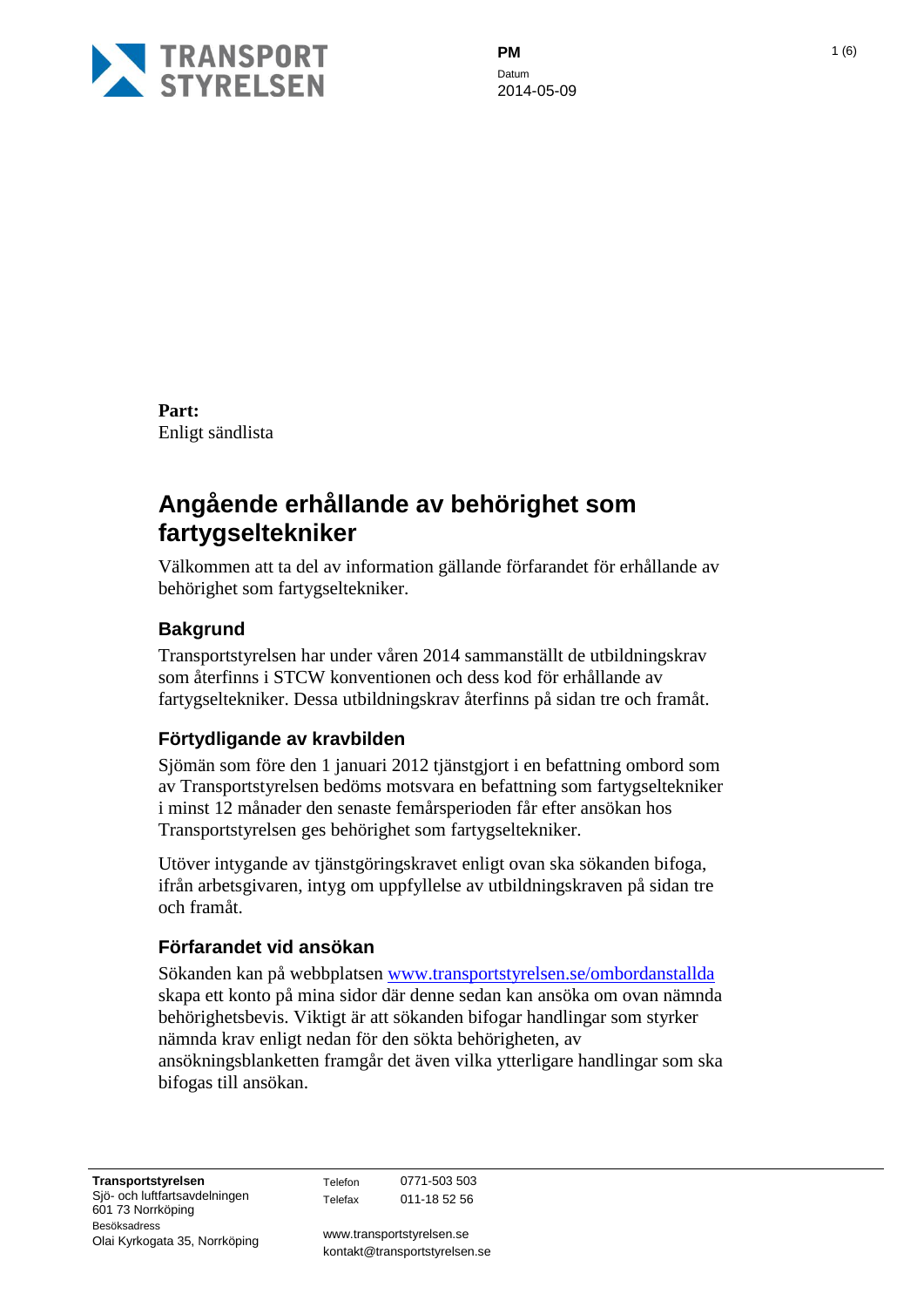

**PM** 1 (6) Datum 2014-05-09

**Part:** Enligt sändlista

# **Angående erhållande av behörighet som fartygseltekniker**

Välkommen att ta del av information gällande förfarandet för erhållande av behörighet som fartygseltekniker.

# **Bakgrund**

Transportstyrelsen har under våren 2014 sammanställt de utbildningskrav som återfinns i STCW konventionen och dess kod för erhållande av fartygseltekniker. Dessa utbildningskrav återfinns på sidan tre och framåt.

# **Förtydligande av kravbilden**

Sjömän som före den 1 januari 2012 tjänstgjort i en befattning ombord som av Transportstyrelsen bedöms motsvara en befattning som fartygseltekniker i minst 12 månader den senaste femårsperioden får efter ansökan hos Transportstyrelsen ges behörighet som fartygseltekniker.

Utöver intygande av tjänstgöringskravet enligt ovan ska sökanden bifoga, ifrån arbetsgivaren, intyg om uppfyllelse av utbildningskraven på sidan tre och framåt.

# **Förfarandet vid ansökan**

Sökanden kan på webbplatsen [www.transportstyrelsen.se/ombordanstallda](http://www.transportstyrelsen.se/ombordanstallda) skapa ett konto på mina sidor där denne sedan kan ansöka om ovan nämnda behörighetsbevis. Viktigt är att sökanden bifogar handlingar som styrker nämnda krav enligt nedan för den sökta behörigheten, av ansökningsblanketten framgår det även vilka ytterligare handlingar som ska bifogas till ansökan.

Telefon 0771-503 503 Telefax 011-18 52 56

www.transportstyrelsen.se kontakt@transportstyrelsen.se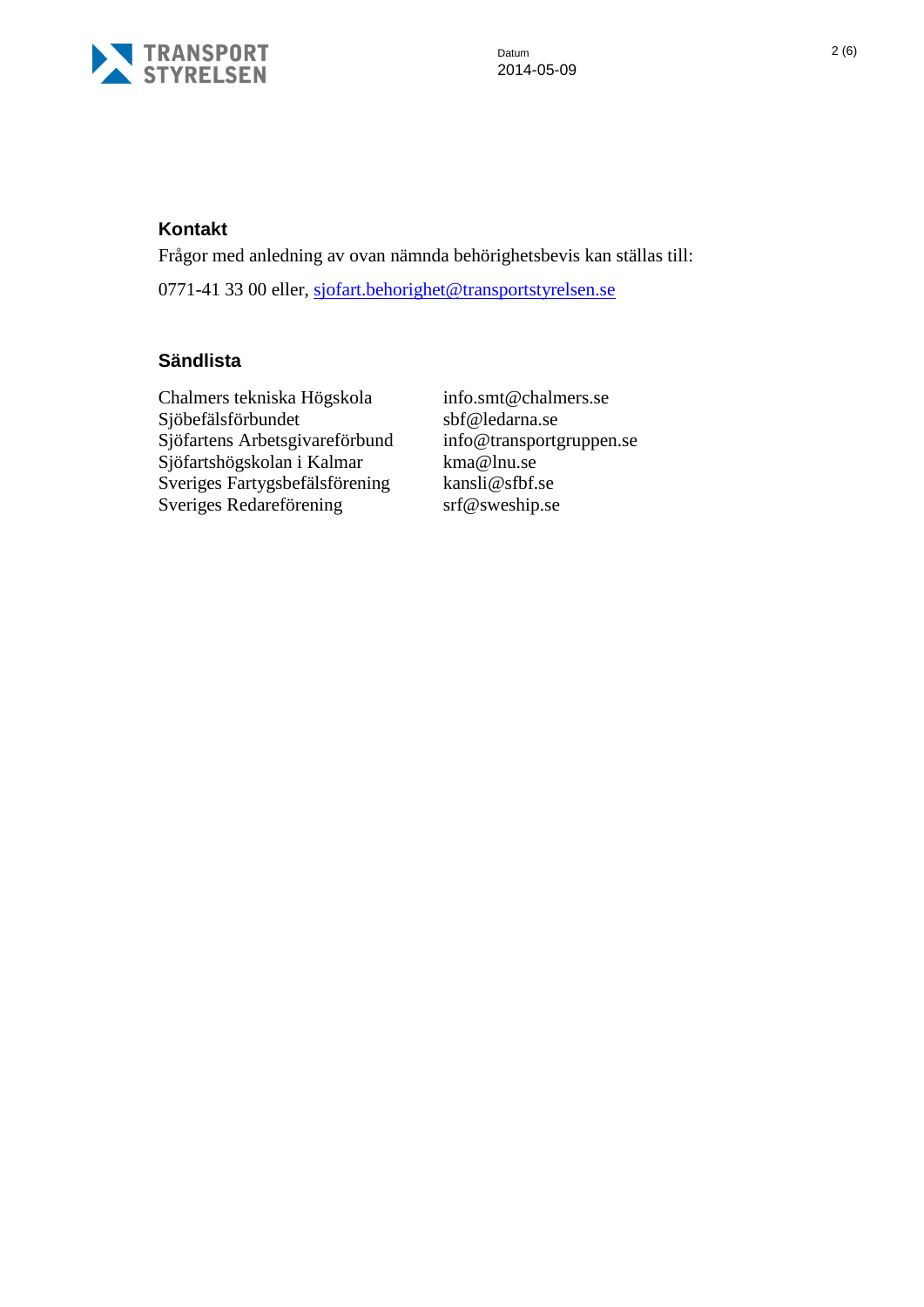

# **Kontakt**

Frågor med anledning av ovan nämnda behörighetsbevis kan ställas till: 0771-41 33 00 eller, [sjofart.behorighet@transportstyrelsen.se](mailto:sjofart.behorighet@transportstyrelsen.se)

# **Sändlista**

Chalmers tekniska Högskola Sjöbefälsförbundet Sjöfartens Arbetsgivareförbund info@transportgruppen.se Sjöfartshögskolan i Kalmar kma@lnu.se Sveriges Fartygsbefälsförening kansli@sfbf.se Sveriges Redareförening srf@sweship.se

info.smt@chalmers.se sbf@ledarna.se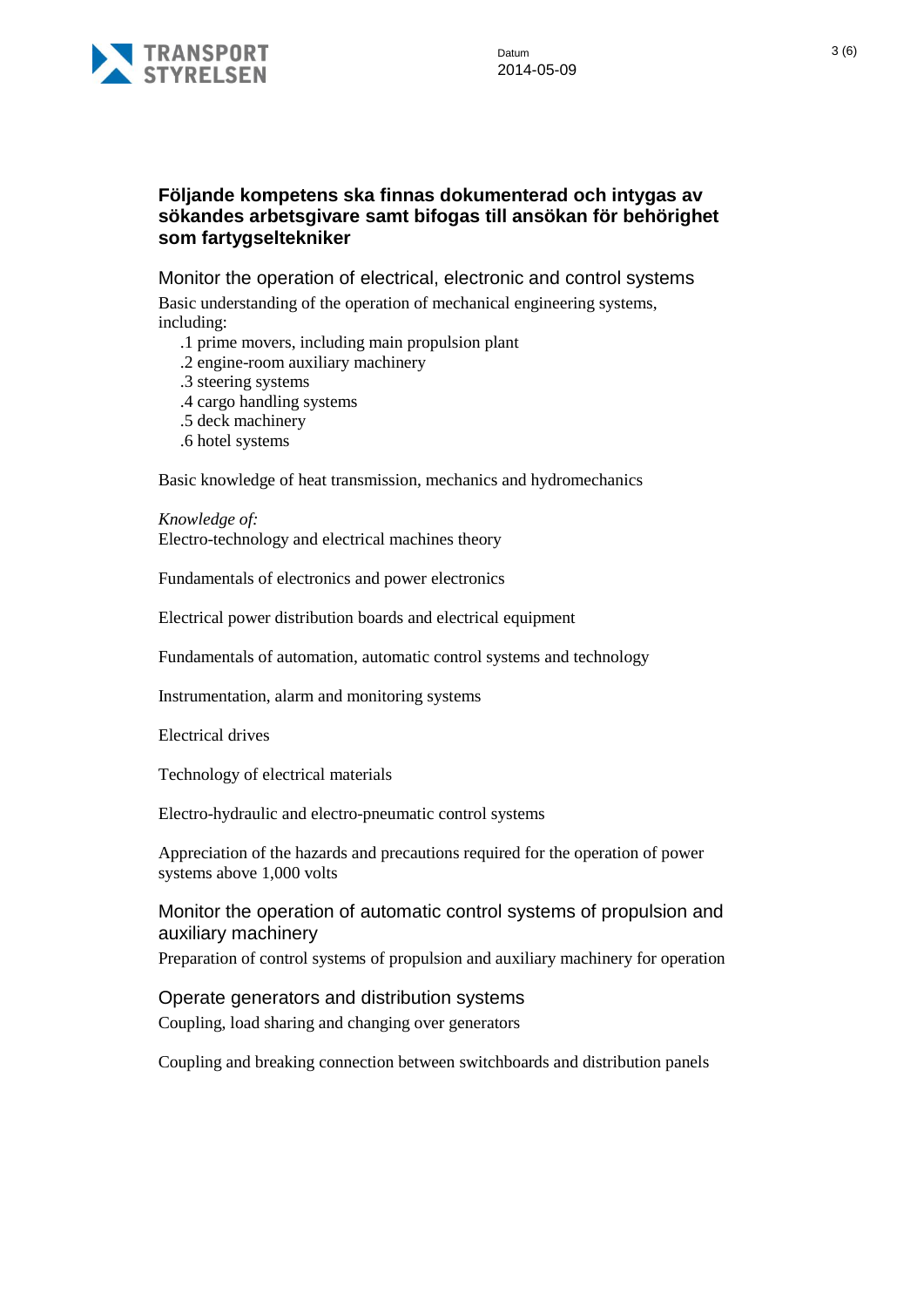

# **Följande kompetens ska finnas dokumenterad och intygas av sökandes arbetsgivare samt bifogas till ansökan för behörighet som fartygseltekniker**

Monitor the operation of electrical, electronic and control systems

Basic understanding of the operation of mechanical engineering systems, including:

- .1 prime movers, including main propulsion plant
- .2 engine-room auxiliary machinery
- .3 steering systems
- .4 cargo handling systems
- .5 deck machinery
- .6 hotel systems

Basic knowledge of heat transmission, mechanics and hydromechanics

*Knowledge of:* Electro-technology and electrical machines theory

Fundamentals of electronics and power electronics

Electrical power distribution boards and electrical equipment

Fundamentals of automation, automatic control systems and technology

Instrumentation, alarm and monitoring systems

Electrical drives

Technology of electrical materials

Electro-hydraulic and electro-pneumatic control systems

Appreciation of the hazards and precautions required for the operation of power systems above 1,000 volts

### Monitor the operation of automatic control systems of propulsion and auxiliary machinery

Preparation of control systems of propulsion and auxiliary machinery for operation

#### Operate generators and distribution systems

Coupling, load sharing and changing over generators

Coupling and breaking connection between switchboards and distribution panels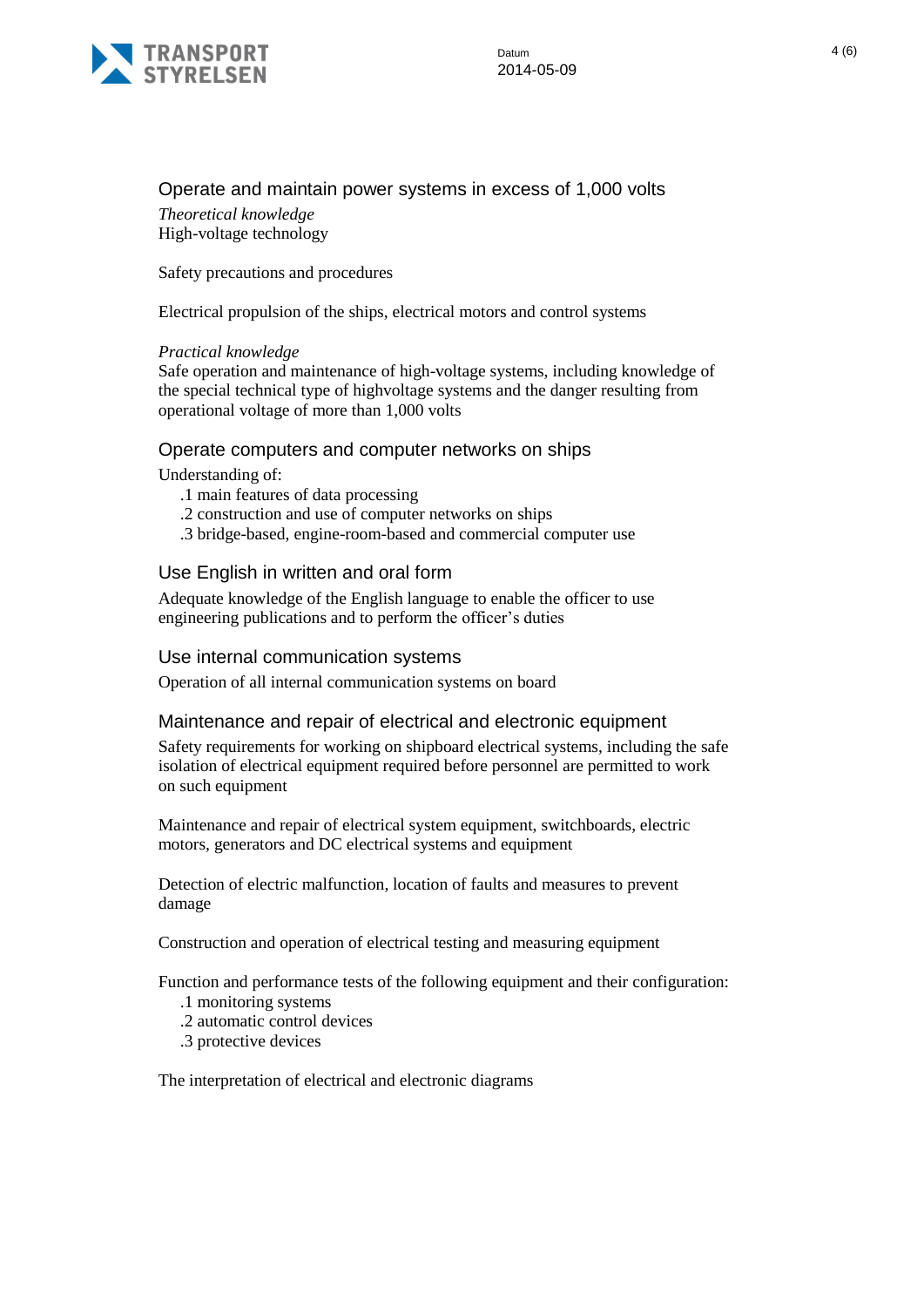

# Operate and maintain power systems in excess of 1,000 volts

*Theoretical knowledge* High-voltage technology

Safety precautions and procedures

Electrical propulsion of the ships, electrical motors and control systems

#### *Practical knowledge*

Safe operation and maintenance of high-voltage systems, including knowledge of the special technical type of highvoltage systems and the danger resulting from operational voltage of more than 1,000 volts

#### Operate computers and computer networks on ships

Understanding of:

- .1 main features of data processing
- .2 construction and use of computer networks on ships
- .3 bridge-based, engine-room-based and commercial computer use

### Use English in written and oral form

Adequate knowledge of the English language to enable the officer to use engineering publications and to perform the officer's duties

#### Use internal communication systems

Operation of all internal communication systems on board

#### Maintenance and repair of electrical and electronic equipment

Safety requirements for working on shipboard electrical systems, including the safe isolation of electrical equipment required before personnel are permitted to work on such equipment

Maintenance and repair of electrical system equipment, switchboards, electric motors, generators and DC electrical systems and equipment

Detection of electric malfunction, location of faults and measures to prevent damage

Construction and operation of electrical testing and measuring equipment

Function and performance tests of the following equipment and their configuration:

- .1 monitoring systems
- .2 automatic control devices
- .3 protective devices

The interpretation of electrical and electronic diagrams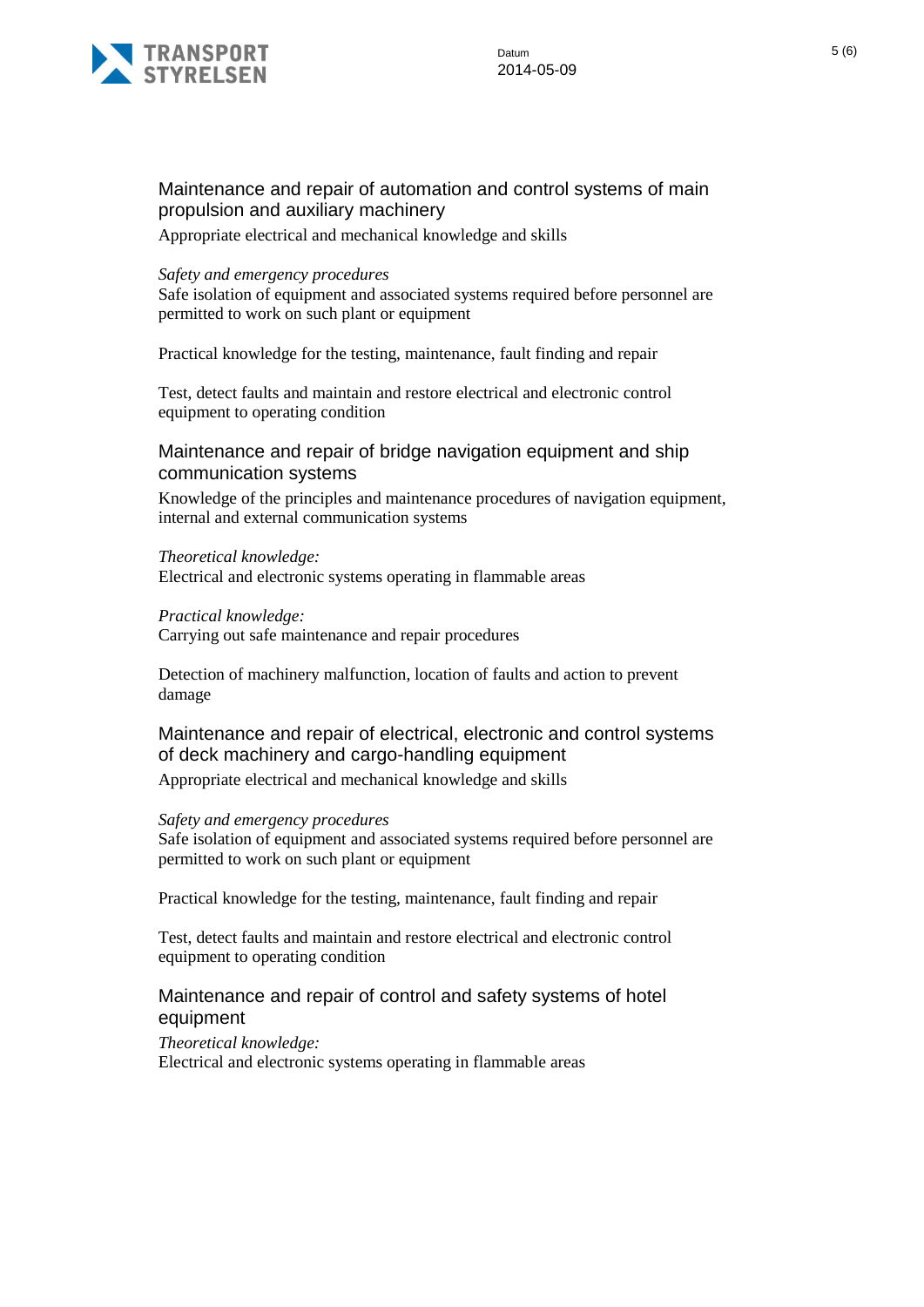

### Maintenance and repair of automation and control systems of main propulsion and auxiliary machinery

Appropriate electrical and mechanical knowledge and skills

#### *Safety and emergency procedures*

Safe isolation of equipment and associated systems required before personnel are permitted to work on such plant or equipment

Practical knowledge for the testing, maintenance, fault finding and repair

Test, detect faults and maintain and restore electrical and electronic control equipment to operating condition

Maintenance and repair of bridge navigation equipment and ship communication systems

Knowledge of the principles and maintenance procedures of navigation equipment, internal and external communication systems

#### *Theoretical knowledge:*

Electrical and electronic systems operating in flammable areas

#### *Practical knowledge:*

Carrying out safe maintenance and repair procedures

Detection of machinery malfunction, location of faults and action to prevent damage

Maintenance and repair of electrical, electronic and control systems of deck machinery and cargo-handling equipment

Appropriate electrical and mechanical knowledge and skills

#### *Safety and emergency procedures*

Safe isolation of equipment and associated systems required before personnel are permitted to work on such plant or equipment

Practical knowledge for the testing, maintenance, fault finding and repair

Test, detect faults and maintain and restore electrical and electronic control equipment to operating condition

### Maintenance and repair of control and safety systems of hotel equipment

*Theoretical knowledge:* Electrical and electronic systems operating in flammable areas